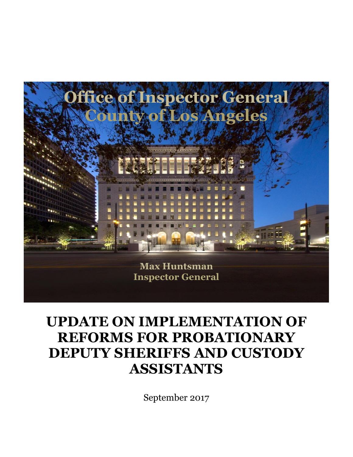

# **UPDATE ON IMPLEMENTATION OF REFORMS FOR PROBATIONARY DEPUTY SHERIFFS AND CUSTODY ASSISTANTS**

September 2017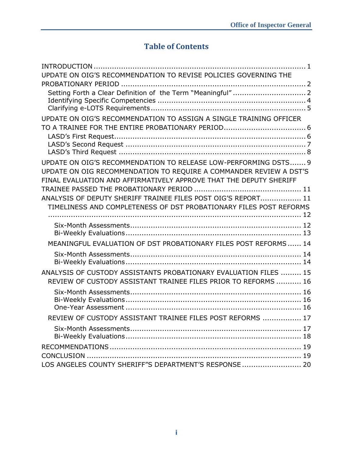# **Table of Contents**

| UPDATE ON OIG'S RECOMMENDATION TO REVISE POLICIES GOVERNING THE    |
|--------------------------------------------------------------------|
|                                                                    |
| Setting Forth a Clear Definition of the Term "Meaningful"  2       |
|                                                                    |
|                                                                    |
| UPDATE ON OIG'S RECOMMENDATION TO ASSIGN A SINGLE TRAINING OFFICER |
|                                                                    |
|                                                                    |
|                                                                    |
|                                                                    |
| UPDATE ON OIG'S RECOMMENDATION TO RELEASE LOW-PERFORMING DSTS 9    |
| UPDATE ON OIG RECOMMENDATION TO REQUIRE A COMMANDER REVIEW A DST'S |
| FINAL EVALUATION AND AFFIRMATIVELY APPROVE THAT THE DEPUTY SHERIFF |
|                                                                    |
| ANALYSIS OF DEPUTY SHERIFF TRAINEE FILES POST OIG'S REPORT 11      |
| TIMELINESS AND COMPLETENESS OF DST PROBATIONARY FILES POST REFORMS |
|                                                                    |
|                                                                    |
|                                                                    |
| MEANINGFUL EVALUATION OF DST PROBATIONARY FILES POST REFORMS  14   |
|                                                                    |
|                                                                    |
| ANALYSIS OF CUSTODY ASSISTANTS PROBATIONARY EVALUATION FILES  15   |
| REVIEW OF CUSTODY ASSISTANT TRAINEE FILES PRIOR TO REFORMS  16     |
|                                                                    |
|                                                                    |
|                                                                    |
| REVIEW OF CUSTODY ASSISTANT TRAINEE FILES POST REFORMS  17         |
|                                                                    |
|                                                                    |
|                                                                    |
|                                                                    |
| LOS ANGELES COUNTY SHERIFF"S DEPARTMENT'S RESPONSE  20             |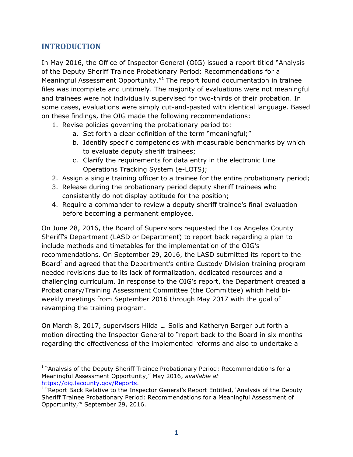# **INTRODUCTION**

-

In May 2016, the Office of Inspector General (OIG) issued a report titled "Analysis of the Deputy Sheriff Trainee Probationary Period: Recommendations for a Meaningful Assessment Opportunity."<sup>1</sup> The report found documentation in trainee files was incomplete and untimely. The majority of evaluations were not meaningful and trainees were not individually supervised for two-thirds of their probation. In some cases, evaluations were simply cut-and-pasted with identical language. Based on these findings, the OIG made the following recommendations:

- 1. Revise policies governing the probationary period to:
	- a. Set forth a clear definition of the term "meaningful;"
	- b. Identify specific competencies with measurable benchmarks by which to evaluate deputy sheriff trainees;
	- c. Clarify the requirements for data entry in the electronic Line Operations Tracking System (e-LOTS);
- 2. Assign a single training officer to a trainee for the entire probationary period;
- 3. Release during the probationary period deputy sheriff trainees who consistently do not display aptitude for the position;
- 4. Require a commander to review a deputy sheriff trainee's final evaluation before becoming a permanent employee.

On June 28, 2016, the Board of Supervisors requested the Los Angeles County Sheriff's Department (LASD or Department) to report back regarding a plan to include methods and timetables for the implementation of the OIG's recommendations. On September 29, 2016, the LASD submitted its report to the Board<sup>2</sup> and agreed that the Department's entire Custody Division training program needed revisions due to its lack of formalization, dedicated resources and a challenging curriculum. In response to the OIG's report, the Department created a Probationary/Training Assessment Committee (the Committee) which held biweekly meetings from September 2016 through May 2017 with the goal of revamping the training program.

On March 8, 2017, supervisors Hilda L. Solis and Katheryn Barger put forth a motion directing the Inspector General to "report back to the Board in six months regarding the effectiveness of the implemented reforms and also to undertake a

<sup>&</sup>lt;sup>1</sup> "Analysis of the Deputy Sheriff Trainee Probationary Period: Recommendations for a Meaningful Assessment Opportunity," May 2016, *available at* [https://oig.lacounty.gov/Reports.](https://oig.lacounty.gov/Reports)

<sup>&</sup>lt;sup>2</sup> "Report Back Relative to the Inspector General's Report Entitled, 'Analysis of the Deputy Sheriff Trainee Probationary Period: Recommendations for a Meaningful Assessment of Opportunity,'" September 29, 2016.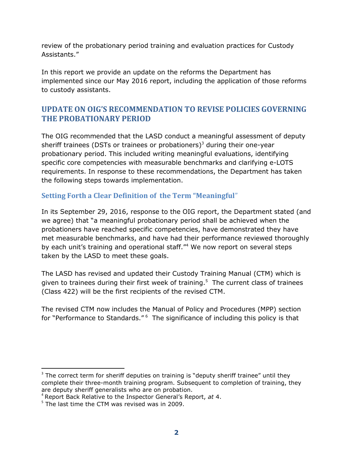review of the probationary period training and evaluation practices for Custody Assistants."

In this report we provide an update on the reforms the Department has implemented since our May 2016 report, including the application of those reforms to custody assistants.

# **UPDATE ON OIG'S RECOMMENDATION TO REVISE POLICIES GOVERNING THE PROBATIONARY PERIOD**

The OIG recommended that the LASD conduct a meaningful assessment of deputy sheriff trainees (DSTs or trainees or probationers) <sup>3</sup> during their one-year probationary period. This included writing meaningful evaluations, identifying specific core competencies with measurable benchmarks and clarifying e-LOTS requirements. In response to these recommendations, the Department has taken the following steps towards implementation.

# **Setting Forth a Clear Definition of the Term "Meaningful**"

In its September 29, 2016, response to the OIG report, the Department stated (and we agree) that "a meaningful probationary period shall be achieved when the probationers have reached specific competencies, have demonstrated they have met measurable benchmarks, and have had their performance reviewed thoroughly by each unit's training and operational staff."<sup>4</sup> We now report on several steps taken by the LASD to meet these goals.

The LASD has revised and updated their Custody Training Manual (CTM) which is given to trainees during their first week of training.<sup>5</sup> The current class of trainees (Class 422) will be the first recipients of the revised CTM.

The revised CTM now includes the Manual of Policy and Procedures (MPP) section for "Performance to Standards."<sup>6</sup> The significance of including this policy is that

 $\overline{a}$  $3$  The correct term for sheriff deputies on training is "deputy sheriff trainee" until they complete their three-month training program. Subsequent to completion of training, they are deputy sheriff generalists who are on probation.

<sup>4</sup> Report Back Relative to the Inspector General's Report, *at* 4.

 $5$  The last time the CTM was revised was in 2009.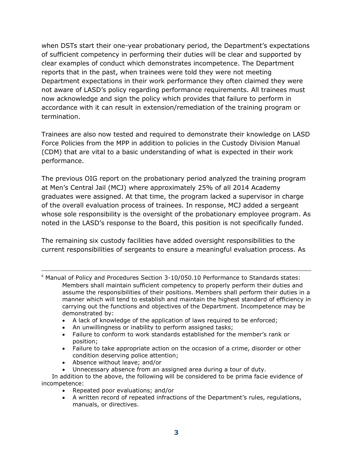when DSTs start their one-year probationary period, the Department's expectations of sufficient competency in performing their duties will be clear and supported by clear examples of conduct which demonstrates incompetence. The Department reports that in the past, when trainees were told they were not meeting Department expectations in their work performance they often claimed they were not aware of LASD's policy regarding performance requirements. All trainees must now acknowledge and sign the policy which provides that failure to perform in accordance with it can result in extension/remediation of the training program or termination.

Trainees are also now tested and required to demonstrate their knowledge on LASD Force Policies from the MPP in addition to policies in the Custody Division Manual (CDM) that are vital to a basic understanding of what is expected in their work performance.

The previous OIG report on the probationary period analyzed the training program at Men's Central Jail (MCJ) where approximately 25% of all 2014 Academy graduates were assigned. At that time, the program lacked a supervisor in charge of the overall evaluation process of trainees. In response, MCJ added a sergeant whose sole responsibility is the oversight of the probationary employee program. As noted in the LASD's response to the Board, this position is not specifically funded.

The remaining six custody facilities have added oversight responsibilities to the current responsibilities of sergeants to ensure a meaningful evaluation process. As

- j  $6$  Manual of Policy and Procedures Section 3-10/050.10 Performance to Standards states: Members shall maintain sufficient competency to properly perform their duties and assume the responsibilities of their positions. Members shall perform their duties in a manner which will tend to establish and maintain the highest standard of efficiency in carrying out the functions and objectives of the Department. Incompetence may be demonstrated by:
	- A lack of knowledge of the application of laws required to be enforced;
	- An unwillingness or inability to perform assigned tasks;
	- Failure to conform to work standards established for the member's rank or position;
	- Failure to take appropriate action on the occasion of a crime, disorder or other condition deserving police attention;
	- Absence without leave; and/or
	- Unnecessary absence from an assigned area during a tour of duty.

In addition to the above, the following will be considered to be prima facie evidence of incompetence:

- Repeated poor evaluations; and/or
- A written record of repeated infractions of the Department's rules, regulations, manuals, or directives.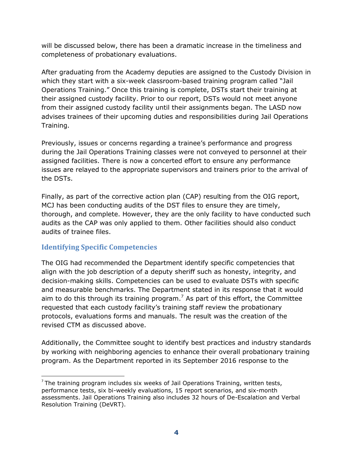will be discussed below, there has been a dramatic increase in the timeliness and completeness of probationary evaluations.

After graduating from the Academy deputies are assigned to the Custody Division in which they start with a six-week classroom-based training program called "Jail Operations Training." Once this training is complete, DSTs start their training at their assigned custody facility. Prior to our report, DSTs would not meet anyone from their assigned custody facility until their assignments began. The LASD now advises trainees of their upcoming duties and responsibilities during Jail Operations Training.

Previously, issues or concerns regarding a trainee's performance and progress during the Jail Operations Training classes were not conveyed to personnel at their assigned facilities. There is now a concerted effort to ensure any performance issues are relayed to the appropriate supervisors and trainers prior to the arrival of the DSTs.

Finally, as part of the corrective action plan (CAP) resulting from the OIG report, MCJ has been conducting audits of the DST files to ensure they are timely, thorough, and complete. However, they are the only facility to have conducted such audits as the CAP was only applied to them. Other facilities should also conduct audits of trainee files.

# **Identifying Specific Competencies**

j

The OIG had recommended the Department identify specific competencies that align with the job description of a deputy sheriff such as honesty, integrity, and decision-making skills. Competencies can be used to evaluate DSTs with specific and measurable benchmarks. The Department stated in its response that it would aim to do this through its training program.<sup>7</sup> As part of this effort, the Committee requested that each custody facility's training staff review the probationary protocols, evaluations forms and manuals. The result was the creation of the revised CTM as discussed above.

Additionally, the Committee sought to identify best practices and industry standards by working with neighboring agencies to enhance their overall probationary training program. As the Department reported in its September 2016 response to the

<sup>&</sup>lt;sup>7</sup> The training program includes six weeks of Jail Operations Training, written tests, performance tests, six bi-weekly evaluations, 15 report scenarios, and six-month assessments. Jail Operations Training also includes 32 hours of De-Escalation and Verbal Resolution Training (DeVRT).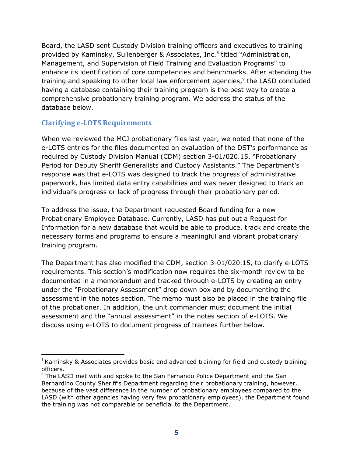Board, the LASD sent Custody Division training officers and executives to training provided by Kaminsky, Sullenberger & Associates, Inc.<sup>8</sup> titled "Administration, Management, and Supervision of Field Training and Evaluation Programs" to enhance its identification of core competencies and benchmarks. After attending the training and speaking to other local law enforcement agencies,<sup>9</sup> the LASD concluded having a database containing their training program is the best way to create a comprehensive probationary training program. We address the status of the database below.

# **Clarifying e-LOTS Requirements**

j

When we reviewed the MCJ probationary files last year, we noted that none of the e-LOTS entries for the files documented an evaluation of the DST's performance as required by Custody Division Manual (CDM) section 3-01/020.15, "Probationary Period for Deputy Sheriff Generalists and Custody Assistants." The Department's response was that e-LOTS was designed to track the progress of administrative paperwork, has limited data entry capabilities and was never designed to track an individual's progress or lack of progress through their probationary period.

To address the issue, the Department requested Board funding for a new Probationary Employee Database. Currently, LASD has put out a Request for Information for a new database that would be able to produce, track and create the necessary forms and programs to ensure a meaningful and vibrant probationary training program.

The Department has also modified the CDM, section 3-01/020.15, to clarify e-LOTS requirements. This section's modification now requires the six-month review to be documented in a memorandum and tracked through e-LOTS by creating an entry under the "Probationary Assessment" drop down box and by documenting the assessment in the notes section. The memo must also be placed in the training file of the probationer. In addition, the unit commander must document the initial assessment and the "annual assessment" in the notes section of e-LOTS. We discuss using e-LOTS to document progress of trainees further below.

<sup>&</sup>lt;sup>8</sup> Kaminsky & Associates provides basic and advanced training for field and custody training officers.

<sup>&</sup>lt;sup>8</sup> The LASD met with and spoke to the San Fernando Police Department and the San Bernardino County Sheriff's Department regarding their probationary training, however, because of the vast difference in the number of probationary employees compared to the LASD (with other agencies having very few probationary employees), the Department found the training was not comparable or beneficial to the Department.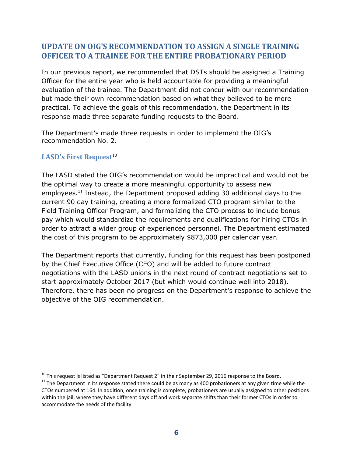# **UPDATE ON OIG'S RECOMMENDATION TO ASSIGN A SINGLE TRAINING OFFICER TO A TRAINEE FOR THE ENTIRE PROBATIONARY PERIOD**

In our previous report, we recommended that DSTs should be assigned a Training Officer for the entire year who is held accountable for providing a meaningful evaluation of the trainee. The Department did not concur with our recommendation but made their own recommendation based on what they believed to be more practical. To achieve the goals of this recommendation, the Department in its response made three separate funding requests to the Board.

The Department's made three requests in order to implement the OIG's recommendation No. 2.

#### **LASD's First Request**<sup>10</sup>

-

The LASD stated the OIG's recommendation would be impractical and would not be the optimal way to create a more meaningful opportunity to assess new employees.<sup>11</sup> Instead, the Department proposed adding 30 additional days to the current 90 day training, creating a more formalized CTO program similar to the Field Training Officer Program, and formalizing the CTO process to include bonus pay which would standardize the requirements and qualifications for hiring CTOs in order to attract a wider group of experienced personnel. The Department estimated the cost of this program to be approximately \$873,000 per calendar year.

The Department reports that currently, funding for this request has been postponed by the Chief Executive Office (CEO) and will be added to future contract negotiations with the LASD unions in the next round of contract negotiations set to start approximately October 2017 (but which would continue well into 2018). Therefore, there has been no progress on the Department's response to achieve the objective of the OIG recommendation.

 $^{10}$  This request is listed as "Department Request 2" in their September 29, 2016 response to the Board.

 $11$  The Department in its response stated there could be as many as 400 probationers at any given time while the CTOs numbered at 164. In addition, once training is complete, probationers are usually assigned to other positions within the jail, where they have different days off and work separate shifts than their former CTOs in order to accommodate the needs of the facility.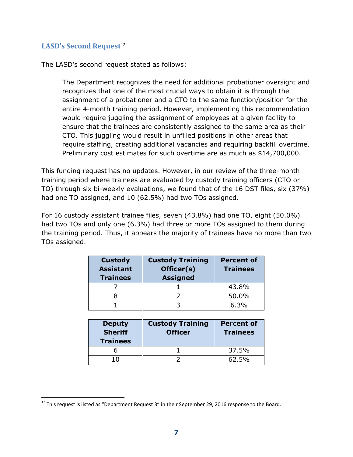### LASD's Second Request<sup>12</sup>

 $\overline{a}$ 

The LASD's second request stated as follows:

The Department recognizes the need for additional probationer oversight and recognizes that one of the most crucial ways to obtain it is through the assignment of a probationer and a CTO to the same function/position for the entire 4-month training period. However, implementing this recommendation would require juggling the assignment of employees at a given facility to ensure that the trainees are consistently assigned to the same area as their CTO. This juggling would result in unfilled positions in other areas that require staffing, creating additional vacancies and requiring backfill overtime. Preliminary cost estimates for such overtime are as much as \$14,700,000.

This funding request has no updates. However, in our review of the three-month training period where trainees are evaluated by custody training officers (CTO or TO) through six bi-weekly evaluations, we found that of the 16 DST files, six (37%) had one TO assigned, and 10 (62.5%) had two TOs assigned.

For 16 custody assistant trainee files, seven (43.8%) had one TO, eight (50.0%) had two TOs and only one (6.3%) had three or more TOs assigned to them during the training period. Thus, it appears the majority of trainees have no more than two TOs assigned.

| <b>Custody</b><br><b>Assistant</b><br><b>Trainees</b> | <b>Custody Training</b><br>Officer(s)<br><b>Assigned</b> | <b>Percent of</b><br><b>Trainees</b> |
|-------------------------------------------------------|----------------------------------------------------------|--------------------------------------|
|                                                       |                                                          | 43.8%                                |
|                                                       |                                                          | 50.0%                                |
|                                                       |                                                          | 6.3%                                 |

| <b>Deputy</b><br><b>Sheriff</b><br><b>Trainees</b> | <b>Custody Training</b><br><b>Officer</b> | <b>Percent of</b><br><b>Trainees</b> |
|----------------------------------------------------|-------------------------------------------|--------------------------------------|
|                                                    |                                           | 37.5%                                |
|                                                    |                                           | 62.5%                                |

 $^{12}$  This request is listed as "Department Request 3" in their September 29, 2016 response to the Board.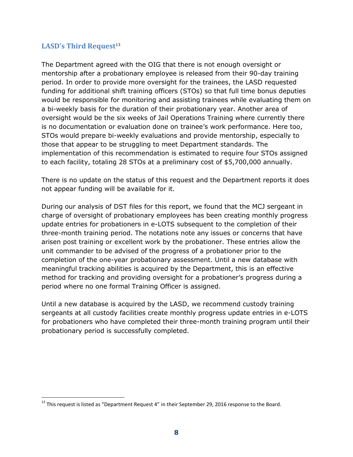# LASD's Third Request<sup>13</sup>

 $\overline{a}$ 

The Department agreed with the OIG that there is not enough oversight or mentorship after a probationary employee is released from their 90-day training period. In order to provide more oversight for the trainees, the LASD requested funding for additional shift training officers (STOs) so that full time bonus deputies would be responsible for monitoring and assisting trainees while evaluating them on a bi-weekly basis for the duration of their probationary year. Another area of oversight would be the six weeks of Jail Operations Training where currently there is no documentation or evaluation done on trainee's work performance. Here too, STOs would prepare bi-weekly evaluations and provide mentorship, especially to those that appear to be struggling to meet Department standards. The implementation of this recommendation is estimated to require four STOs assigned to each facility, totaling 28 STOs at a preliminary cost of \$5,700,000 annually.

There is no update on the status of this request and the Department reports it does not appear funding will be available for it.

During our analysis of DST files for this report, we found that the MCJ sergeant in charge of oversight of probationary employees has been creating monthly progress update entries for probationers in e-LOTS subsequent to the completion of their three-month training period. The notations note any issues or concerns that have arisen post training or excellent work by the probationer. These entries allow the unit commander to be advised of the progress of a probationer prior to the completion of the one-year probationary assessment. Until a new database with meaningful tracking abilities is acquired by the Department, this is an effective method for tracking and providing oversight for a probationer's progress during a period where no one formal Training Officer is assigned.

Until a new database is acquired by the LASD, we recommend custody training sergeants at all custody facilities create monthly progress update entries in e-LOTS for probationers who have completed their three-month training program until their probationary period is successfully completed.

 $^{13}$  This request is listed as "Department Request 4" in their September 29, 2016 response to the Board.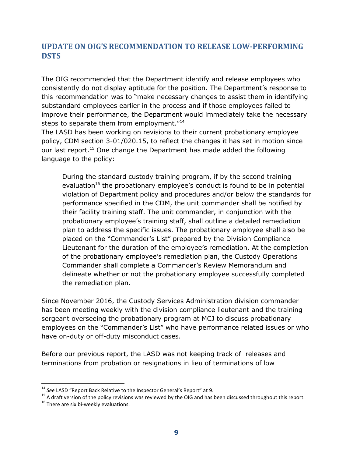# **UPDATE ON OIG'S RECOMMENDATION TO RELEASE LOW-PERFORMING DSTS**

The OIG recommended that the Department identify and release employees who consistently do not display aptitude for the position. The Department's response to this recommendation was to "make necessary changes to assist them in identifying substandard employees earlier in the process and if those employees failed to improve their performance, the Department would immediately take the necessary steps to separate them from employment."<sup>14</sup>

The LASD has been working on revisions to their current probationary employee policy, CDM section 3-01/020.15, to reflect the changes it has set in motion since our last report.<sup>15</sup> One change the Department has made added the following language to the policy:

During the standard custody training program, if by the second training evaluation<sup>16</sup> the probationary employee's conduct is found to be in potential violation of Department policy and procedures and/or below the standards for performance specified in the CDM, the unit commander shall be notified by their facility training staff. The unit commander, in conjunction with the probationary employee's training staff, shall outline a detailed remediation plan to address the specific issues. The probationary employee shall also be placed on the "Commander's List" prepared by the Division Compliance Lieutenant for the duration of the employee's remediation. At the completion of the probationary employee's remediation plan, the Custody Operations Commander shall complete a Commander's Review Memorandum and delineate whether or not the probationary employee successfully completed the remediation plan.

Since November 2016, the Custody Services Administration division commander has been meeting weekly with the division compliance lieutenant and the training sergeant overseeing the probationary program at MCJ to discuss probationary employees on the "Commander's List" who have performance related issues or who have on-duty or off-duty misconduct cases.

Before our previous report, the LASD was not keeping track of releases and terminations from probation or resignations in lieu of terminations of low

-

<sup>&</sup>lt;sup>14</sup> See LASD "Report Back Relative to the Inspector General's Report" at 9.

 $15$  A draft version of the policy revisions was reviewed by the OIG and has been discussed throughout this report.

 $16$  There are six bi-weekly evaluations.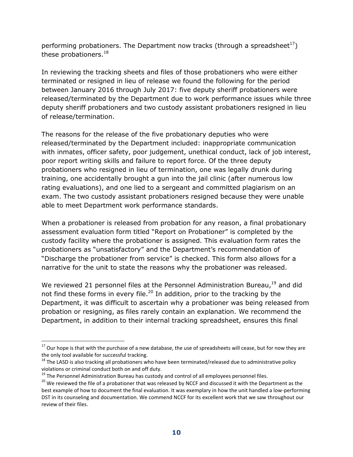performing probationers. The Department now tracks (through a spreadsheet $^{17}$ ) these probationers.<sup>18</sup>

In reviewing the tracking sheets and files of those probationers who were either terminated or resigned in lieu of release we found the following for the period between January 2016 through July 2017: five deputy sheriff probationers were released/terminated by the Department due to work performance issues while three deputy sheriff probationers and two custody assistant probationers resigned in lieu of release/termination.

The reasons for the release of the five probationary deputies who were released/terminated by the Department included: inappropriate communication with inmates, officer safety, poor judgement, unethical conduct, lack of job interest, poor report writing skills and failure to report force. Of the three deputy probationers who resigned in lieu of termination, one was legally drunk during training, one accidentally brought a gun into the jail clinic (after numerous low rating evaluations), and one lied to a sergeant and committed plagiarism on an exam. The two custody assistant probationers resigned because they were unable able to meet Department work performance standards.

When a probationer is released from probation for any reason, a final probationary assessment evaluation form titled "Report on Probationer" is completed by the custody facility where the probationer is assigned. This evaluation form rates the probationers as "unsatisfactory" and the Department's recommendation of "Discharge the probationer from service" is checked. This form also allows for a narrative for the unit to state the reasons why the probationer was released.

We reviewed 21 personnel files at the Personnel Administration Bureau,<sup>19</sup> and did not find these forms in every file.<sup>20</sup> In addition, prior to the tracking by the Department, it was difficult to ascertain why a probationer was being released from probation or resigning, as files rarely contain an explanation. We recommend the Department, in addition to their internal tracking spreadsheet, ensures this final

 $\overline{a}$  $17$  Our hope is that with the purchase of a new database, the use of spreadsheets will cease, but for now they are the only tool available for successful tracking.

 $18$  The LASD is also tracking all probationers who have been terminated/released due to administrative policy violations or criminal conduct both on and off duty.

<sup>&</sup>lt;sup>19</sup> The Personnel Administration Bureau has custody and control of all employees personnel files.

<sup>&</sup>lt;sup>20</sup> We reviewed the file of a probationer that was released by NCCF and discussed it with the Department as the best example of how to document the final evaluation. It was exemplary in how the unit handled a low-performing DST in its counseling and documentation. We commend NCCF for its excellent work that we saw throughout our review of their files.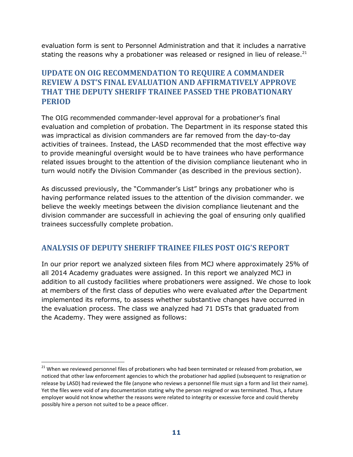evaluation form is sent to Personnel Administration and that it includes a narrative stating the reasons why a probationer was released or resigned in lieu of release. $^{21}$ 

# **UPDATE ON OIG RECOMMENDATION TO REQUIRE A COMMANDER REVIEW A DST'S FINAL EVALUATION AND AFFIRMATIVELY APPROVE THAT THE DEPUTY SHERIFF TRAINEE PASSED THE PROBATIONARY PERIOD**

The OIG recommended commander-level approval for a probationer's final evaluation and completion of probation. The Department in its response stated this was impractical as division commanders are far removed from the day-to-day activities of trainees. Instead, the LASD recommended that the most effective way to provide meaningful oversight would be to have trainees who have performance related issues brought to the attention of the division compliance lieutenant who in turn would notify the Division Commander (as described in the previous section).

As discussed previously, the "Commander's List" brings any probationer who is having performance related issues to the attention of the division commander. we believe the weekly meetings between the division compliance lieutenant and the division commander are successfull in achieving the goal of ensuring only qualified trainees successfully complete probation.

# **ANALYSIS OF DEPUTY SHERIFF TRAINEE FILES POST OIG'S REPORT**

In our prior report we analyzed sixteen files from MCJ where approximately 25% of all 2014 Academy graduates were assigned. In this report we analyzed MCJ in addition to all custody facilities where probationers were assigned. We chose to look at members of the first class of deputies who were evaluated *after* the Department implemented its reforms, to assess whether substantive changes have occurred in the evaluation process. The class we analyzed had 71 DSTs that graduated from the Academy. They were assigned as follows:

j

<sup>&</sup>lt;sup>21</sup> When we reviewed personnel files of probationers who had been terminated or released from probation, we noticed that other law enforcement agencies to which the probationer had applied (subsequent to resignation or release by LASD) had reviewed the file (anyone who reviews a personnel file must sign a form and list their name). Yet the files were void of any documentation stating why the person resigned or was terminated. Thus, a future employer would not know whether the reasons were related to integrity or excessive force and could thereby possibly hire a person not suited to be a peace officer.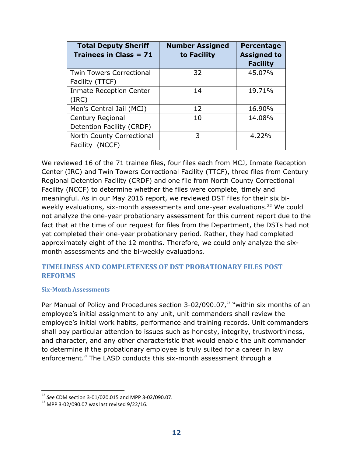| <b>Total Deputy Sheriff</b><br>Trainees in Class = $71$ | <b>Number Assigned</b><br>to Facility | <b>Percentage</b><br><b>Assigned to</b><br><b>Facility</b> |
|---------------------------------------------------------|---------------------------------------|------------------------------------------------------------|
| <b>Twin Towers Correctional</b><br>Facility (TTCF)      | 32                                    | 45.07%                                                     |
| <b>Inmate Reception Center</b><br>(IRC)                 | 14                                    | 19.71%                                                     |
| Men's Central Jail (MCJ)                                | 12                                    | 16.90%                                                     |
| Century Regional<br>Detention Facility (CRDF)           | 10                                    | 14.08%                                                     |
| North County Correctional<br>Facility (NCCF)            | 3                                     | 4.22%                                                      |

We reviewed 16 of the 71 trainee files, four files each from MCJ, Inmate Reception Center (IRC) and Twin Towers Correctional Facility (TTCF), three files from Century Regional Detention Facility (CRDF) and one file from North County Correctional Facility (NCCF) to determine whether the files were complete, timely and meaningful. As in our May 2016 report, we reviewed DST files for their six biweekly evaluations, six-month assessments and one-year evaluations.<sup>22</sup> We could not analyze the one-year probationary assessment for this current report due to the fact that at the time of our request for files from the Department, the DSTs had not yet completed their one-year probationary period. Rather, they had completed approximately eight of the 12 months. Therefore, we could only analyze the sixmonth assessments and the bi-weekly evaluations.

### **TIMELINESS AND COMPLETENESS OF DST PROBATIONARY FILES POST REFORMS**

#### **Six-Month Assessments**

Per Manual of Policy and Procedures section  $3-02/090.07$ ,<sup>23</sup> "within six months of an employee's initial assignment to any unit, unit commanders shall review the employee's initial work habits, performance and training records. Unit commanders shall pay particular attention to issues such as honesty, integrity, trustworthiness, and character, and any other characteristic that would enable the unit commander to determine if the probationary employee is truly suited for a career in law enforcement." The LASD conducts this six-month assessment through a

 $\overline{a}$ <sup>22</sup> *See* CDM section 3-01/020.015 and MPP 3-02/090.07.

<sup>&</sup>lt;sup>23</sup> MPP 3-02/090.07 was last revised 9/22/16.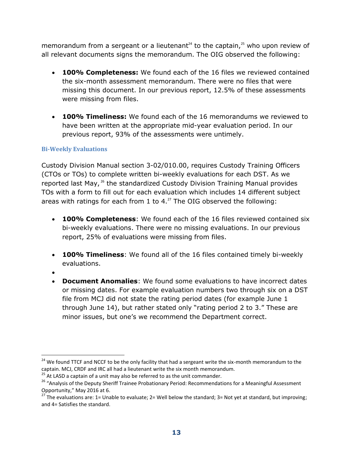memorandum from a sergeant or a lieutenant<sup>24</sup> to the captain,<sup>25</sup> who upon review of all relevant documents signs the memorandum. The OIG observed the following:

- **100% Completeness:** We found each of the 16 files we reviewed contained the six-month assessment memorandum. There were no files that were missing this document. In our previous report, 12.5% of these assessments were missing from files.
- **100% Timeliness:** We found each of the 16 memorandums we reviewed to have been written at the appropriate mid-year evaluation period. In our previous report, 93% of the assessments were untimely.

#### **Bi-Weekly Evaluations**

Custody Division Manual section 3-02/010.00, requires Custody Training Officers (CTOs or TOs) to complete written bi-weekly evaluations for each DST. As we reported last May,<sup>26</sup> the standardized Custody Division Training Manual provides TOs with a form to fill out for each evaluation which includes 14 different subject areas with ratings for each from 1 to 4. $^{27}$  The OIG observed the following:

- **100% Completeness**: We found each of the 16 files reviewed contained six bi-weekly evaluations. There were no missing evaluations. In our previous report, 25% of evaluations were missing from files.
- **100% Timeliness**: We found all of the 16 files contained timely bi-weekly evaluations.
- $\bullet$
- **Document Anomalies**: We found some evaluations to have incorrect dates or missing dates. For example evaluation numbers two through six on a DST file from MCJ did not state the rating period dates (for example June 1 through June 14), but rather stated only "rating period 2 to 3." These are minor issues, but one's we recommend the Department correct.

 $\overline{a}$ <sup>24</sup> We found TTCF and NCCF to be the only facility that had a sergeant write the six-month memorandum to the captain. MCJ, CRDF and IRC all had a lieutenant write the six month memorandum.

 $25$  At LASD a captain of a unit may also be referred to as the unit commander.

<sup>&</sup>lt;sup>26</sup> "Analysis of the Deputy Sheriff Trainee Probationary Period: Recommendations for a Meaningful Assessment Opportunity," May 2016 at 6.

<sup>&</sup>lt;sup>27</sup> The evaluations are: 1= Unable to evaluate; 2= Well below the standard; 3= Not yet at standard, but improving; and 4= Satisfies the standard.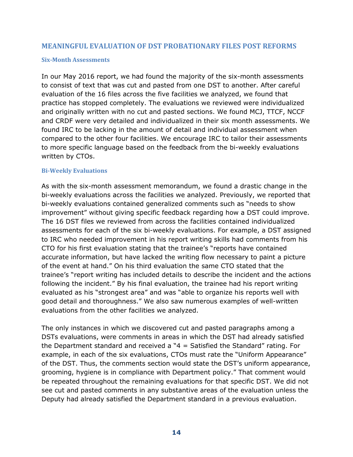#### **MEANINGFUL EVALUATION OF DST PROBATIONARY FILES POST REFORMS**

#### **Six-Month Assessments**

In our May 2016 report, we had found the majority of the six-month assessments to consist of text that was cut and pasted from one DST to another. After careful evaluation of the 16 files across the five facilities we analyzed, we found that practice has stopped completely. The evaluations we reviewed were individualized and originally written with no cut and pasted sections. We found MCJ, TTCF, NCCF and CRDF were very detailed and individualized in their six month assessments. We found IRC to be lacking in the amount of detail and individual assessment when compared to the other four facilities. We encourage IRC to tailor their assessments to more specific language based on the feedback from the bi-weekly evaluations written by CTOs.

#### **Bi-Weekly Evaluations**

As with the six-month assessment memorandum, we found a drastic change in the bi-weekly evaluations across the facilities we analyzed. Previously, we reported that bi-weekly evaluations contained generalized comments such as "needs to show improvement" without giving specific feedback regarding how a DST could improve. The 16 DST files we reviewed from across the facilities contained individualized assessments for each of the six bi-weekly evaluations. For example, a DST assigned to IRC who needed improvement in his report writing skills had comments from his CTO for his first evaluation stating that the trainee's "reports have contained accurate information, but have lacked the writing flow necessary to paint a picture of the event at hand." On his third evaluation the same CTO stated that the trainee's "report writing has included details to describe the incident and the actions following the incident." By his final evaluation, the trainee had his report writing evaluated as his "strongest area" and was "able to organize his reports well with good detail and thoroughness." We also saw numerous examples of well-written evaluations from the other facilities we analyzed.

The only instances in which we discovered cut and pasted paragraphs among a DSTs evaluations, were comments in areas in which the DST had already satisfied the Department standard and received a "4 = Satisfied the Standard" rating. For example, in each of the six evaluations, CTOs must rate the "Uniform Appearance" of the DST. Thus, the comments section would state the DST's uniform appearance, grooming, hygiene is in compliance with Department policy." That comment would be repeated throughout the remaining evaluations for that specific DST. We did not see cut and pasted comments in any substantive areas of the evaluation unless the Deputy had already satisfied the Department standard in a previous evaluation.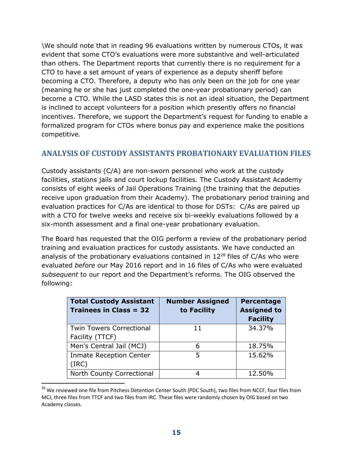\We should note that in reading 96 evaluations written by numerous CTOs, it was evident that some CTO's evaluations were more substantive and well-articulated than others. The Department reports that currently there is no requirement for a CTO to have a set amount of years of experience as a deputy sheriff before becoming a CTO. Therefore, a deputy who has only been on the job for one year (meaning he or she has just completed the one-year probationary period) can become a CTO. While the LASD states this is not an ideal situation, the Department is inclined to accept volunteers for a position which presently offers no financial incentives. Therefore, we support the Department's request for funding to enable a formalized program for CTOs where bonus pay and experience make the positions competitive.

# **ANALYSIS OF CUSTODY ASSISTANTS PROBATIONARY EVALUATION FILES**

Custody assistants (C/A) are non-sworn personnel who work at the custody facilities, stations jails and court lockup facilities. The Custody Assistant Academy consists of eight weeks of Jail Operations Training (the training that the deputies receive upon graduation from their Academy). The probationary period training and evaluation practices for C/As are identical to those for DSTs: C/As are paired up with a CTO for twelve weeks and receive six bi-weekly evaluations followed by a six-month assessment and a final one-year probationary evaluation.

The Board has requested that the OIG perform a review of the probationary period training and evaluation practices for custody assistants. We have conducted an analysis of the probationary evaluations contained in  $12^{28}$  files of C/As who were evaluated *before* our May 2016 report and in 16 files of C/As who were evaluated *subsequent* to our report and the Department's reforms. The OIG observed the following:

| <b>Total Custody Assistant</b><br>Trainees in Class = $32$ | <b>Number Assigned</b><br>to Facility | <b>Percentage</b><br><b>Assigned to</b><br><b>Facility</b> |
|------------------------------------------------------------|---------------------------------------|------------------------------------------------------------|
| <b>Twin Towers Correctional</b><br>Facility (TTCF)         | 11                                    | 34.37%                                                     |
| Men's Central Jail (MCJ)                                   | 6                                     | 18.75%                                                     |
| <b>Inmate Reception Center</b><br>(IRC)                    | 5                                     | 15.62%                                                     |
| North County Correctional                                  |                                       | 12.50%                                                     |

<sup>-</sup><sup>28</sup> We reviewed one file from Pitchess Detention Center South (PDC South), two files from NCCF, four files from MCJ, three files from TTCF and two files from IRC. These files were randomly chosen by OIG based on two Academy classes.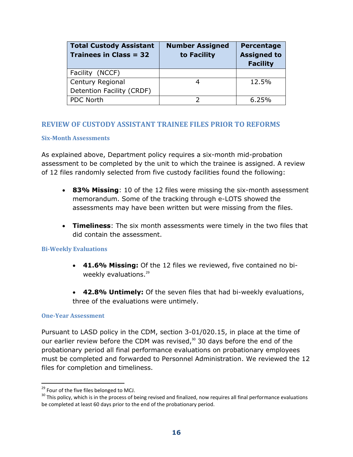| <b>Total Custody Assistant</b><br><b>Trainees in Class = 32</b> | <b>Number Assigned</b><br>to Facility | Percentage<br><b>Assigned to</b><br><b>Facility</b> |
|-----------------------------------------------------------------|---------------------------------------|-----------------------------------------------------|
| Facility (NCCF)                                                 |                                       |                                                     |
| Century Regional                                                |                                       | 12.5%                                               |
| Detention Facility (CRDF)                                       |                                       |                                                     |
| <b>PDC North</b>                                                |                                       | 6.25%                                               |

#### **REVIEW OF CUSTODY ASSISTANT TRAINEE FILES PRIOR TO REFORMS**

#### **Six-Month Assessments**

As explained above, Department policy requires a six-month mid-probation assessment to be completed by the unit to which the trainee is assigned. A review of 12 files randomly selected from five custody facilities found the following:

- **83% Missing**: 10 of the 12 files were missing the six-month assessment memorandum. Some of the tracking through e-LOTS showed the assessments may have been written but were missing from the files.
- **Timeliness**: The six month assessments were timely in the two files that did contain the assessment.

#### **Bi-Weekly Evaluations**

- **41.6% Missing:** Of the 12 files we reviewed, five contained no biweekly evaluations. $^{29}$
- **42.8% Untimely:** Of the seven files that had bi-weekly evaluations, three of the evaluations were untimely.

#### **One-Year Assessment**

-

Pursuant to LASD policy in the CDM, section 3-01/020.15, in place at the time of our earlier review before the CDM was revised, $30$  days before the end of the probationary period all final performance evaluations on probationary employees must be completed and forwarded to Personnel Administration. We reviewed the 12 files for completion and timeliness.

<sup>&</sup>lt;sup>29</sup> Four of the five files belonged to MCJ.

<sup>&</sup>lt;sup>30</sup> This policy, which is in the process of being revised and finalized, now requires all final performance evaluations be completed at least 60 days prior to the end of the probationary period.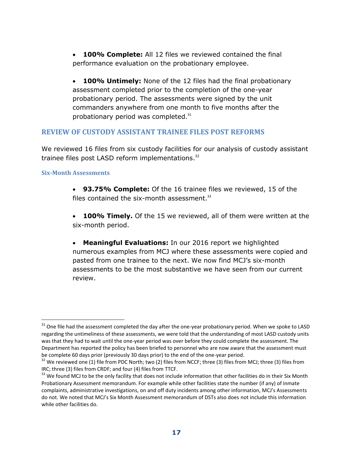**100% Complete:** All 12 files we reviewed contained the final performance evaluation on the probationary employee.

 **100% Untimely:** None of the 12 files had the final probationary assessment completed prior to the completion of the one-year probationary period. The assessments were signed by the unit commanders anywhere from one month to five months after the probationary period was completed.<sup>31</sup>

#### **REVIEW OF CUSTODY ASSISTANT TRAINEE FILES POST REFORMS**

We reviewed 16 files from six custody facilities for our analysis of custody assistant trainee files post LASD reform implementations.<sup>32</sup>

#### **Six-Month Assessments**

 $\overline{a}$ 

- **93.75% Complete:** Of the 16 trainee files we reviewed, 15 of the files contained the six-month assessment. $33$
- **100% Timely.** Of the 15 we reviewed, all of them were written at the six-month period.
- **Meaningful Evaluations:** In our 2016 report we highlighted numerous examples from MCJ where these assessments were copied and pasted from one trainee to the next. We now find MCJ's six-month assessments to be the most substantive we have seen from our current review.

<sup>&</sup>lt;sup>31</sup> One file had the assessment completed the day after the one-year probationary period. When we spoke to LASD regarding the untimeliness of these assessments, we were told that the understanding of most LASD custody units was that they had to wait until the one-year period was over before they could complete the assessment. The Department has reported the policy has been briefed to personnel who are now aware that the assessment must be complete 60 days prior (previously 30 days prior) to the end of the one-year period.

 $32$  We reviewed one (1) file from PDC North; two (2) files from NCCF; three (3) files from MCJ; three (3) files from IRC; three (3) files from CRDF; and four (4) files from TTCF.

<sup>&</sup>lt;sup>33</sup> We found MCJ to be the only facility that does not include information that other facilities do in their Six Month Probationary Assessment memorandum. For example while other facilities state the number (if any) of inmate complaints, administrative investigations, on and off duty incidents among other information, MCJ's Assessments do not. We noted that MCJ's Six Month Assessment memorandum of DSTs also does not include this information while other facilities do.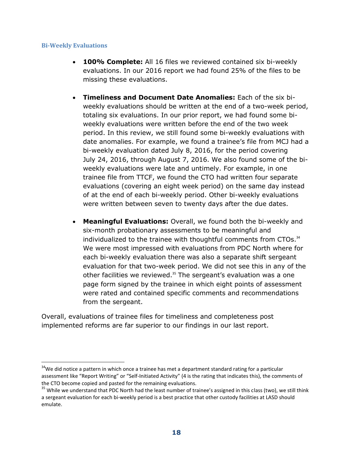#### **Bi-Weekly Evaluations**

j

- **100% Complete:** All 16 files we reviewed contained six bi-weekly evaluations. In our 2016 report we had found 25% of the files to be missing these evaluations.
- **Timeliness and Document Date Anomalies:** Each of the six biweekly evaluations should be written at the end of a two-week period, totaling six evaluations. In our prior report, we had found some biweekly evaluations were written before the end of the two week period. In this review, we still found some bi-weekly evaluations with date anomalies. For example, we found a trainee's file from MCJ had a bi-weekly evaluation dated July 8, 2016, for the period covering July 24, 2016, through August 7, 2016. We also found some of the biweekly evaluations were late and untimely. For example, in one trainee file from TTCF, we found the CTO had written four separate evaluations (covering an eight week period) on the same day instead of at the end of each bi-weekly period. Other bi-weekly evaluations were written between seven to twenty days after the due dates.
- **Meaningful Evaluations:** Overall, we found both the bi-weekly and six-month probationary assessments to be meaningful and individualized to the trainee with thoughtful comments from  $CTOs.<sup>34</sup>$ We were most impressed with evaluations from PDC North where for each bi-weekly evaluation there was also a separate shift sergeant evaluation for that two-week period. We did not see this in any of the other facilities we reviewed.<sup>35</sup> The sergeant's evaluation was a one page form signed by the trainee in which eight points of assessment were rated and contained specific comments and recommendations from the sergeant.

Overall, evaluations of trainee files for timeliness and completeness post implemented reforms are far superior to our findings in our last report.

<sup>&</sup>lt;sup>34</sup>We did notice a pattern in which once a trainee has met a department standard rating for a particular assessment like "Report Writing" or "Self-Initiated Activity" (4 is the rating that indicates this), the comments of the CTO become copied and pasted for the remaining evaluations.

<sup>&</sup>lt;sup>35</sup> While we understand that PDC North had the least number of trainee's assigned in this class (two), we still think a sergeant evaluation for each bi-weekly period is a best practice that other custody facilities at LASD should emulate.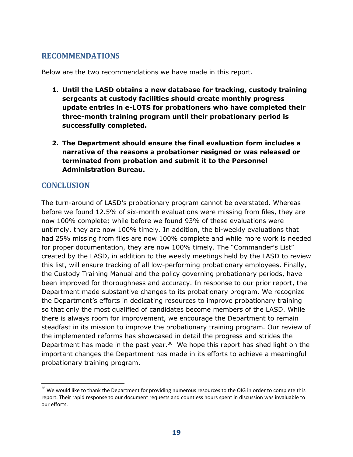## **RECOMMENDATIONS**

Below are the two recommendations we have made in this report.

- **1. Until the LASD obtains a new database for tracking, custody training sergeants at custody facilities should create monthly progress update entries in e-LOTS for probationers who have completed their three-month training program until their probationary period is successfully completed.**
- **2. The Department should ensure the final evaluation form includes a narrative of the reasons a probationer resigned or was released or terminated from probation and submit it to the Personnel Administration Bureau.**

# **CONCLUSION**

-

The turn-around of LASD's probationary program cannot be overstated. Whereas before we found 12.5% of six-month evaluations were missing from files, they are now 100% complete; while before we found 93% of these evaluations were untimely, they are now 100% timely. In addition, the bi-weekly evaluations that had 25% missing from files are now 100% complete and while more work is needed for proper documentation, they are now 100% timely. The "Commander's List" created by the LASD, in addition to the weekly meetings held by the LASD to review this list, will ensure tracking of all low-performing probationary employees. Finally, the Custody Training Manual and the policy governing probationary periods, have been improved for thoroughness and accuracy. In response to our prior report, the Department made substantive changes to its probationary program. We recognize the Department's efforts in dedicating resources to improve probationary training so that only the most qualified of candidates become members of the LASD. While there is always room for improvement, we encourage the Department to remain steadfast in its mission to improve the probationary training program. Our review of the implemented reforms has showcased in detail the progress and strides the Department has made in the past year.<sup>36</sup> We hope this report has shed light on the important changes the Department has made in its efforts to achieve a meaningful probationary training program.

<sup>&</sup>lt;sup>36</sup> We would like to thank the Department for providing numerous resources to the OIG in order to complete this report. Their rapid response to our document requests and countless hours spent in discussion was invaluable to our efforts.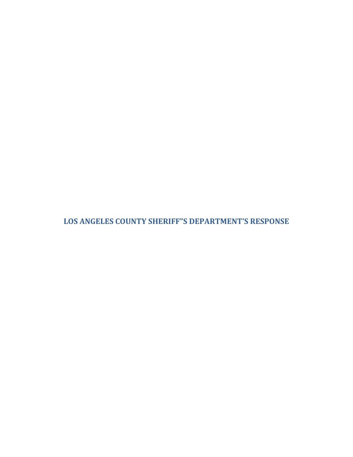**LOS ANGELES COUNTY SHERIFF"S DEPARTMENT'S RESPONSE**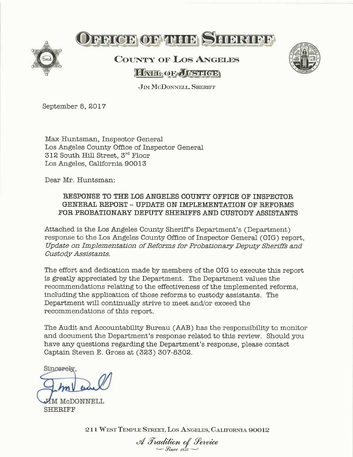

# OFFICE OF THE SHERIFF

# **COUNTY OF LOS ANGELES HATLOF JOSHICE**



**JIM MCDONNELL, SHERIFF** 

September 8, 2017

Max Huntsman, Inspector General Los Angeles County Office of Inspector General 312 South Hill Street, 3rd Floor Los Angeles, California 90013

Dear Mr. Huntsman:

#### RESPONSE TO THE LOS ANGELES COUNTY OFFICE OF INSPECTOR GENERAL REPORT - UPDATE ON IMPLEMENTATION OF REFORMS FOR PROBATIONARY DEPUTY SHERIFFS AND CUSTODY ASSISTANTS

Attached is the Los Angeles County Sheriff's Department's (Department) response to the Los Angeles County Office of Inspector General (OIG) report, Update on Implementation of Reforms for Probationary Deputy Sheriffs and Custody Assistants.

The effort and dedication made by members of the OIG to execute this report is greatly appreciated by the Department. The Department values the recommendations relating to the effectiveness of the implemented reforms, including the application of those reforms to custody assistants. The Department will continually strive to meet and/or exceed the recommendations of this report.

The Audit and Accountability Bureau (AAB) has the responsibility to monitor and document the Department's response related to this review. Should you have any questions regarding the Department's response, please contact Captain Steven E. Gross at (323) 307-8302.

Sincerely.

M McDONNELL **SHERIFF** 

211 WEST TEMPLE STREET, LOS ANGELES, CALIFORNIA 90012

A Tradition of Service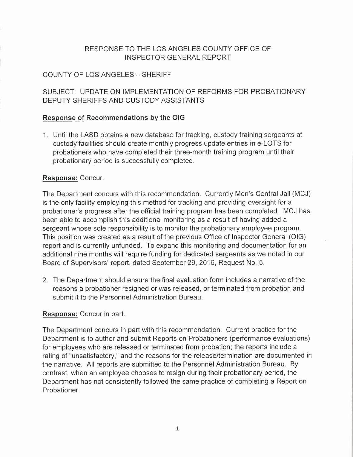#### RESPONSE TO THE LOS ANGELES COUNTY OFFICE OF **INSPECTOR GENERAL REPORT**

#### COUNTY OF LOS ANGELES - SHERIFF

### SUBJECT: UPDATE ON IMPLEMENTATION OF REFORMS FOR PROBATIONARY DEPUTY SHERIFFS AND CUSTODY ASSISTANTS

#### Response of Recommendations by the OIG

1. Until the LASD obtains a new database for tracking, custody training sergeants at custody facilities should create monthly progress update entries in e-LOTS for probationers who have completed their three-month training program until their probationary period is successfully completed.

#### Response: Concur.

The Department concurs with this recommendation. Currently Men's Central Jail (MCJ) is the only facility employing this method for tracking and providing oversight for a probationer's progress after the official training program has been completed. MCJ has been able to accomplish this additional monitoring as a result of having added a sergeant whose sole responsibility is to monitor the probationary employee program. This position was created as a result of the previous Office of Inspector General (OIG) report and is currently unfunded. To expand this monitoring and documentation for an additional nine months will require funding for dedicated sergeants as we noted in our Board of Supervisors' report, dated September 29, 2016, Request No. 5.

2. The Department should ensure the final evaluation form includes a narrative of the reasons a probationer resigned or was released, or terminated from probation and submit it to the Personnel Administration Bureau.

#### Response: Concur in part.

The Department concurs in part with this recommendation. Current practice for the Department is to author and submit Reports on Probationers (performance evaluations) for employees who are released or terminated from probation; the reports include a rating of "unsatisfactory," and the reasons for the release/termination are documented in the narrative. All reports are submitted to the Personnel Administration Bureau. By contrast, when an employee chooses to resign during their probationary period, the Department has not consistently followed the same practice of completing a Report on Probationer.